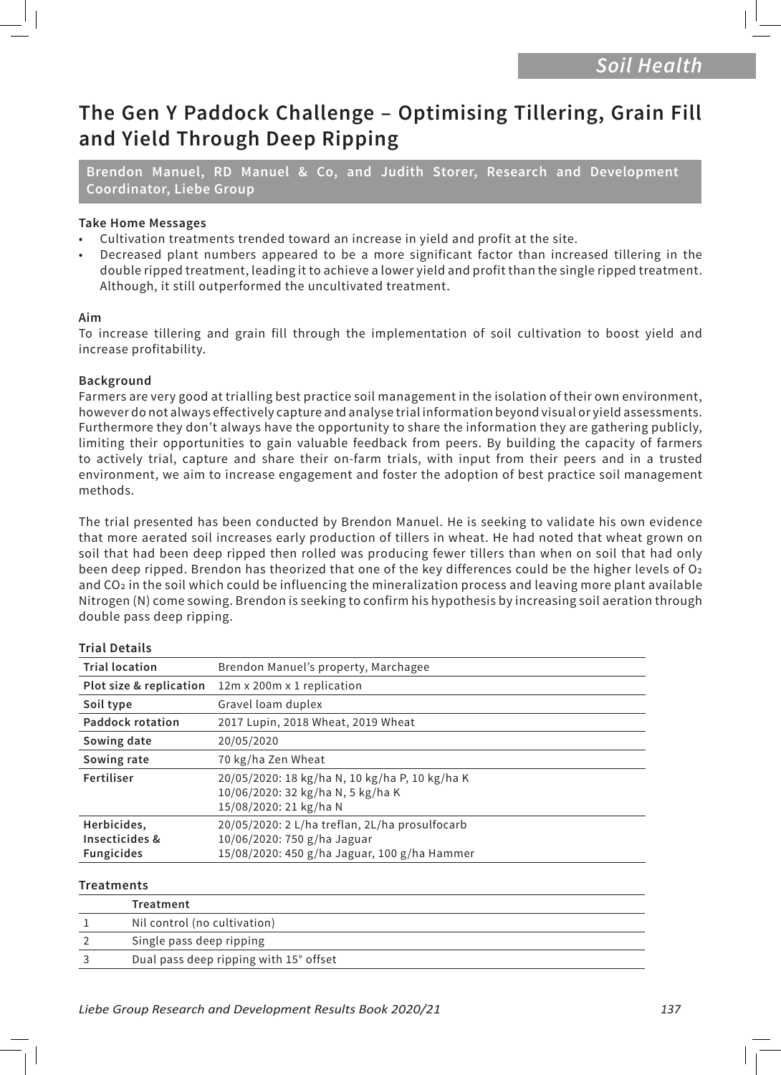# **The Gen Y Paddock Challenge – Optimising Tillering, Grain Fill and Yield Through Deep Ripping**

**Brendon Manuel, RD Manuel & Co, and Judith Storer, Research and Development Coordinator, Liebe Group**

# **Take Home Messages**

- Cultivation treatments trended toward an increase in yield and profit at the site.
- Decreased plant numbers appeared to be a more significant factor than increased tillering in the double ripped treatment, leading it to achieve a lower yield and profit than the single ripped treatment. Although, it still outperformed the uncultivated treatment.

#### **Aim**

To increase tillering and grain fill through the implementation of soil cultivation to boost yield and increase profitability.

# **Background**

Farmers are very good at trialling best practice soil management in the isolation of their own environment, however do not always effectively capture and analyse trial information beyond visual or yield assessments. Furthermore they don't always have the opportunity to share the information they are gathering publicly, limiting their opportunities to gain valuable feedback from peers. By building the capacity of farmers to actively trial, capture and share their on-farm trials, with input from their peers and in a trusted environment, we aim to increase engagement and foster the adoption of best practice soil management methods.

The trial presented has been conducted by Brendon Manuel. He is seeking to validate his own evidence that more aerated soil increases early production of tillers in wheat. He had noted that wheat grown on soil that had been deep ripped then rolled was producing fewer tillers than when on soil that had only been deep ripped. Brendon has theorized that one of the key differences could be the higher levels of O2 and CO2 in the soil which could be influencing the mineralization process and leaving more plant available Nitrogen (N) come sowing. Brendon is seeking to confirm his hypothesis by increasing soil aeration through double pass deep ripping.

#### **Trial Details**

| <b>Trial location</b>                              | Brendon Manuel's property, Marchagee                                                                                          |  |  |  |  |  |
|----------------------------------------------------|-------------------------------------------------------------------------------------------------------------------------------|--|--|--|--|--|
| Plot size & replication                            | 12m x 200m x 1 replication                                                                                                    |  |  |  |  |  |
| Soil type                                          | Gravel loam duplex                                                                                                            |  |  |  |  |  |
| <b>Paddock rotation</b>                            | 2017 Lupin, 2018 Wheat, 2019 Wheat                                                                                            |  |  |  |  |  |
| Sowing date                                        | 20/05/2020                                                                                                                    |  |  |  |  |  |
| Sowing rate                                        | 70 kg/ha Zen Wheat                                                                                                            |  |  |  |  |  |
| Fertiliser                                         | 20/05/2020: 18 kg/ha N, 10 kg/ha P, 10 kg/ha K<br>10/06/2020: 32 kg/ha N, 5 kg/ha K<br>15/08/2020: 21 kg/ha N                 |  |  |  |  |  |
| Herbicides,<br>Insecticides &<br><b>Fungicides</b> | 20/05/2020: 2 L/ha treflan, 2L/ha prosulfocarb<br>10/06/2020: 750 g/ha Jaguar<br>15/08/2020: 450 g/ha Jaguar, 100 g/ha Hammer |  |  |  |  |  |
|                                                    |                                                                                                                               |  |  |  |  |  |

#### **Treatments**

| Treatment                              |
|----------------------------------------|
| Nil control (no cultivation)           |
| Single pass deep ripping               |
| Dual pass deep ripping with 15° offset |
|                                        |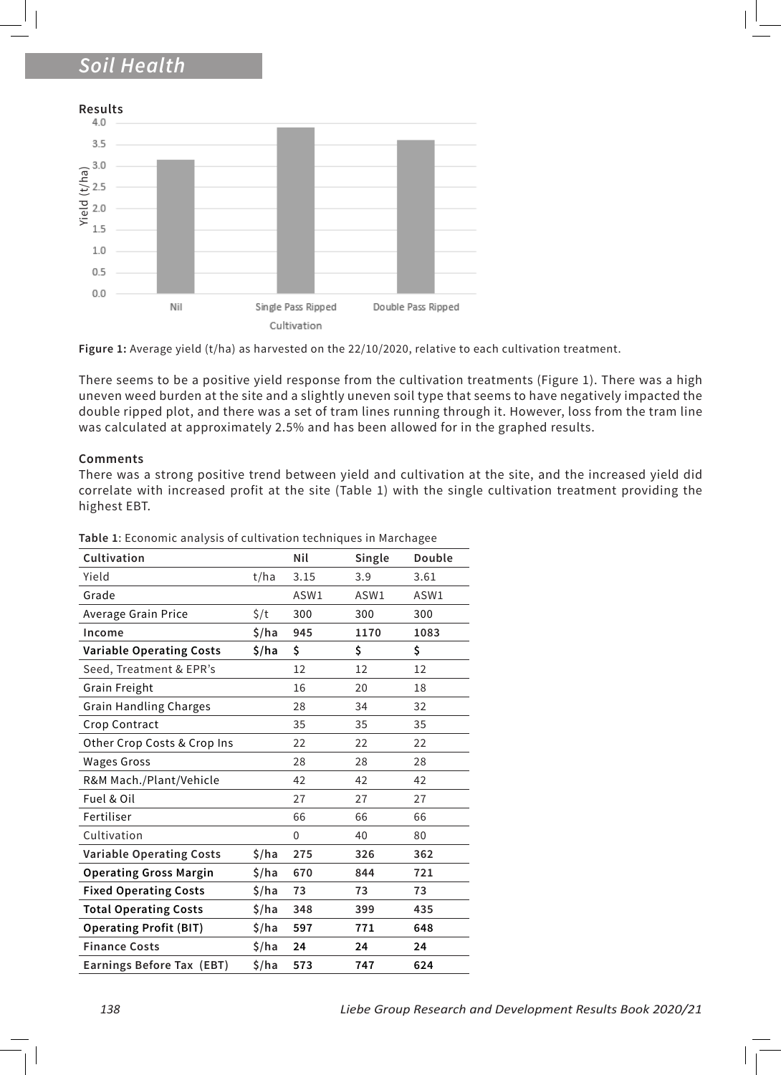# *Soil Health*





There seems to be a positive yield response from the cultivation treatments (Figure 1). There was a high uneven weed burden at the site and a slightly uneven soil type that seems to have negatively impacted the double ripped plot, and there was a set of tram lines running through it. However, loss from the tram line was calculated at approximately 2.5% and has been allowed for in the graphed results.

#### **Comments**

There was a strong positive trend between yield and cultivation at the site, and the increased yield did correlate with increased profit at the site (Table 1) with the single cultivation treatment providing the highest EBT.

|                                                                                                                                                                                                                             | $Yield (t/ha)$<br>$Y = 2.0$ |                                 |     |                                                                                                                                                                                                                                                                                   |       |                    |     |        |                    |  |  |
|-----------------------------------------------------------------------------------------------------------------------------------------------------------------------------------------------------------------------------|-----------------------------|---------------------------------|-----|-----------------------------------------------------------------------------------------------------------------------------------------------------------------------------------------------------------------------------------------------------------------------------------|-------|--------------------|-----|--------|--------------------|--|--|
|                                                                                                                                                                                                                             | 1.5                         |                                 |     |                                                                                                                                                                                                                                                                                   |       |                    |     |        |                    |  |  |
|                                                                                                                                                                                                                             | 1.0                         |                                 |     |                                                                                                                                                                                                                                                                                   |       |                    |     |        |                    |  |  |
|                                                                                                                                                                                                                             | 0.5                         |                                 |     |                                                                                                                                                                                                                                                                                   |       |                    |     |        |                    |  |  |
|                                                                                                                                                                                                                             | 0.0                         |                                 |     |                                                                                                                                                                                                                                                                                   |       |                    |     |        |                    |  |  |
|                                                                                                                                                                                                                             |                             |                                 | Nil |                                                                                                                                                                                                                                                                                   |       | Single Pass Ripped |     |        | Double Pass Ripped |  |  |
|                                                                                                                                                                                                                             |                             |                                 |     |                                                                                                                                                                                                                                                                                   |       | Cultivation        |     |        |                    |  |  |
|                                                                                                                                                                                                                             |                             |                                 |     | Figure 1: Average yield (t/ha) as harvested on the 22/10/2020, relative to                                                                                                                                                                                                        |       |                    |     |        |                    |  |  |
|                                                                                                                                                                                                                             |                             | <b>Comments</b>                 |     | There seems to be a positive yield response from the cultivation<br>uneven weed burden at the site and a slightly uneven soil type that<br>double ripped plot, and there was a set of tram lines running thro<br>was calculated at approximately 2.5% and has been allowed for ir |       |                    |     |        |                    |  |  |
| There was a strong positive trend between yield and cultivation<br>correlate with increased profit at the site (Table 1) with the sing<br>highest EBT.<br>Table 1: Economic analysis of cultivation techniques in Marchagee |                             |                                 |     |                                                                                                                                                                                                                                                                                   |       |                    |     |        |                    |  |  |
|                                                                                                                                                                                                                             |                             | Cultivation                     |     |                                                                                                                                                                                                                                                                                   |       | Nil                |     | Single | Double             |  |  |
|                                                                                                                                                                                                                             | Yield                       |                                 |     |                                                                                                                                                                                                                                                                                   | t/ha  | 3.15               |     | 3.9    | 3.61               |  |  |
|                                                                                                                                                                                                                             | Grade                       |                                 |     |                                                                                                                                                                                                                                                                                   |       | ASW1               |     | ASW1   | ASW1               |  |  |
| Average Grain Price                                                                                                                                                                                                         |                             |                                 |     | $\zeta/t$                                                                                                                                                                                                                                                                         | 300   |                    | 300 | 300    |                    |  |  |
|                                                                                                                                                                                                                             | Income                      |                                 |     |                                                                                                                                                                                                                                                                                   | \$/ha | 945                |     | 1170   | 1083               |  |  |
|                                                                                                                                                                                                                             |                             | <b>Variable Operating Costs</b> |     |                                                                                                                                                                                                                                                                                   | \$/ha | \$                 |     | \$     | \$                 |  |  |
|                                                                                                                                                                                                                             |                             | Seed, Treatment & EPR's         |     |                                                                                                                                                                                                                                                                                   |       | 12                 |     | 12     | 12                 |  |  |
|                                                                                                                                                                                                                             |                             | Grain Freight                   |     |                                                                                                                                                                                                                                                                                   |       | 16                 |     | 20     | 18                 |  |  |
|                                                                                                                                                                                                                             |                             | Grain Handling Charges          |     |                                                                                                                                                                                                                                                                                   |       | 28                 |     | 34     | 32                 |  |  |
|                                                                                                                                                                                                                             |                             | Crop Contract                   |     |                                                                                                                                                                                                                                                                                   |       | 35                 |     | 35     | 35                 |  |  |
|                                                                                                                                                                                                                             |                             | Other Crop Costs & Crop Ins     |     |                                                                                                                                                                                                                                                                                   |       | 22                 |     | 22     | 22                 |  |  |
|                                                                                                                                                                                                                             |                             | <b>Wages Gross</b>              |     |                                                                                                                                                                                                                                                                                   |       | 28                 |     | 28     | 28                 |  |  |
|                                                                                                                                                                                                                             |                             | R&M Mach./Plant/Vehicle         |     |                                                                                                                                                                                                                                                                                   |       | 42                 |     | 42     | 42                 |  |  |
|                                                                                                                                                                                                                             | Fuel & Oil                  |                                 |     |                                                                                                                                                                                                                                                                                   |       | 27                 |     | 27     | 27                 |  |  |
|                                                                                                                                                                                                                             | Fertiliser                  |                                 |     |                                                                                                                                                                                                                                                                                   |       | 66                 |     | 66     | 66                 |  |  |
|                                                                                                                                                                                                                             |                             | Cultivation                     |     |                                                                                                                                                                                                                                                                                   |       | 0                  |     | 40     | 80                 |  |  |
|                                                                                                                                                                                                                             |                             | <b>Variable Operating Costs</b> |     |                                                                                                                                                                                                                                                                                   | \$/ha | 275                |     | 326    | 362                |  |  |
|                                                                                                                                                                                                                             |                             | <b>Operating Gross Margin</b>   |     |                                                                                                                                                                                                                                                                                   | \$/ha | 670                |     | 844    | 721                |  |  |
|                                                                                                                                                                                                                             |                             | <b>Fixed Operating Costs</b>    |     |                                                                                                                                                                                                                                                                                   | \$/ha | 73                 |     | 73     | 73                 |  |  |
|                                                                                                                                                                                                                             |                             | <b>Total Operating Costs</b>    |     |                                                                                                                                                                                                                                                                                   | \$/ha | 348                |     | 399    | 435                |  |  |
| <b>Operating Profit (BIT)</b>                                                                                                                                                                                               |                             |                                 |     | \$/ha                                                                                                                                                                                                                                                                             | 597   |                    | 771 | 648    |                    |  |  |
|                                                                                                                                                                                                                             |                             | <b>Finance Costs</b>            |     |                                                                                                                                                                                                                                                                                   | \$/ha | 24                 |     | 24     | 24                 |  |  |
|                                                                                                                                                                                                                             | Earnings Before Tax (EBT)   |                                 |     |                                                                                                                                                                                                                                                                                   | \$/ha | 573                |     | 747    | 624                |  |  |